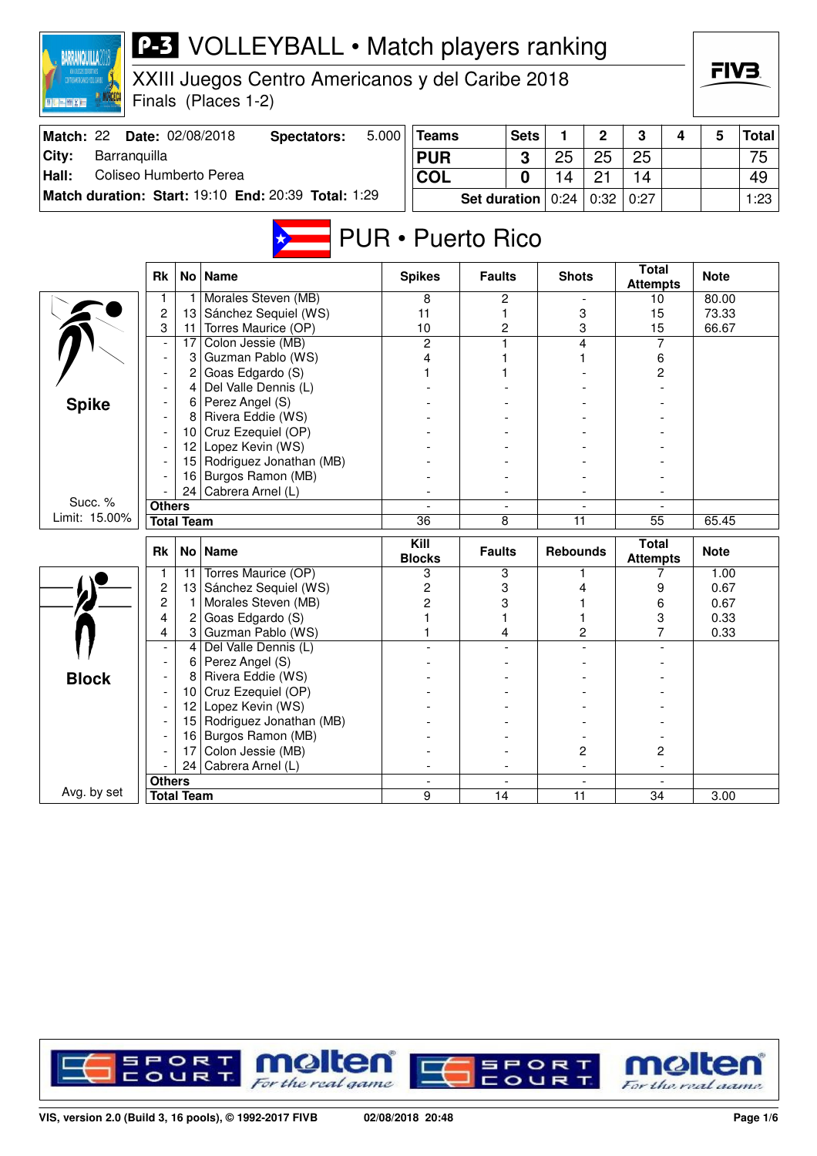| <b>BARRANQUILLA</b>                           |               |                   | <b>P-3</b> VOLLEYBALL • Match players ranking       |       |                       |                          |             |                 |              |                                 |   |              |              |
|-----------------------------------------------|---------------|-------------------|-----------------------------------------------------|-------|-----------------------|--------------------------|-------------|-----------------|--------------|---------------------------------|---|--------------|--------------|
| <b>EXTREMENTARY DEPOSITION OF THE CONTROL</b> |               |                   | XXIII Juegos Centro Americanos y del Caribe 2018    |       |                       |                          |             |                 |              |                                 |   | FIV3.        |              |
| 图照图照图画                                        |               |                   | Finals (Places 1-2)                                 |       |                       |                          |             |                 |              |                                 |   |              |              |
|                                               |               |                   |                                                     |       |                       |                          |             |                 |              |                                 |   |              |              |
| Match: 22                                     |               |                   | Date: 02/08/2018<br><b>Spectators:</b>              | 5.000 | <b>Teams</b>          |                          | <b>Sets</b> | 1               | $\mathbf{2}$ | 3                               | 4 | 5            | <b>Total</b> |
| Barranquilla<br>City:                         |               |                   |                                                     |       | <b>PUR</b>            |                          | 3           | 25              | 25           | 25                              |   |              | 75           |
| Coliseo Humberto Perea<br>Hall:               |               |                   |                                                     |       | <b>COL</b>            |                          | 0           | 14              | 21           | 14                              |   |              | 49           |
|                                               |               |                   | Match duration: Start: 19:10 End: 20:39 Total: 1:29 |       |                       | <b>Set duration</b>      |             | 0:24            | 0:32         | 0:27                            |   |              | 1:23         |
|                                               |               |                   |                                                     |       |                       |                          |             |                 |              |                                 |   |              |              |
|                                               |               |                   |                                                     |       |                       | <b>PUR</b> • Puerto Rico |             |                 |              |                                 |   |              |              |
|                                               | <b>Rk</b>     | No <sub>1</sub>   | <b>Name</b>                                         |       | <b>Spikes</b>         | <b>Faults</b>            |             | <b>Shots</b>    |              | <b>Total</b><br><b>Attempts</b> |   | <b>Note</b>  |              |
|                                               |               |                   | Morales Steven (MB)                                 |       | 8                     |                          | 2           |                 |              | 10                              |   | 80.00        |              |
|                                               | 2             | 13                | Sánchez Sequiel (WS)                                |       | 11                    | 1                        |             |                 | 3            | 15                              |   | 73.33        |              |
|                                               | 3             | 11                | Torres Maurice (OP)<br>Colon Jessie (MB)            |       | 10                    | 1                        | 2           |                 | 3<br>4       | 15<br>7                         |   | 66.67        |              |
|                                               |               | 17<br>3           | Guzman Pablo (WS)                                   |       | 2<br>4                |                          |             |                 |              | 6                               |   |              |              |
|                                               |               |                   | Goas Edgardo (S)                                    |       |                       |                          |             |                 |              | 2                               |   |              |              |
|                                               |               | 4                 | Del Valle Dennis (L)                                |       |                       |                          |             |                 |              |                                 |   |              |              |
| <b>Spike</b>                                  |               | 6                 | Perez Angel (S)                                     |       |                       |                          |             |                 |              |                                 |   |              |              |
|                                               |               | 8                 | Rivera Eddie (WS)                                   |       |                       |                          |             |                 |              |                                 |   |              |              |
|                                               |               | 10                | Cruz Ezequiel (OP)                                  |       |                       |                          |             |                 |              |                                 |   |              |              |
|                                               |               | 12                | Lopez Kevin (WS)                                    |       |                       |                          |             |                 |              |                                 |   |              |              |
|                                               |               | 15                | Rodriguez Jonathan (MB)                             |       |                       |                          |             |                 |              |                                 |   |              |              |
|                                               |               | 16                | Burgos Ramon (MB)                                   |       |                       |                          |             |                 |              |                                 |   |              |              |
| Succ. %                                       |               | 24                | Cabrera Arnel (L)                                   |       |                       |                          |             |                 |              |                                 |   |              |              |
| Limit: 15.00%                                 | <b>Others</b> | <b>Total Team</b> |                                                     |       | $\overline{36}$       | 8                        |             | 11              |              | 55                              |   | 65.45        |              |
|                                               |               |                   |                                                     |       |                       |                          |             |                 |              |                                 |   |              |              |
|                                               | Rk            | No <sub>1</sub>   | <b>Name</b>                                         |       | Kill<br><b>Blocks</b> | <b>Faults</b>            |             | <b>Rebounds</b> |              | <b>Total</b><br><b>Attempts</b> |   | <b>Note</b>  |              |
|                                               | 1.            | 11                | Torres Maurice (OP)                                 |       | 3                     | 3                        |             |                 | 1            | 7                               |   | 1.00         |              |
|                                               | 2             | 13                | Sánchez Sequiel (WS)                                |       | 2                     |                          | 3           |                 | 4            | 9                               |   | 0.67         |              |
|                                               | 2<br>4        | 2                 | Morales Steven (MB)<br>Goas Edgardo (S)             |       | 2                     | 3<br>1                   |             |                 |              | 6                               |   | 0.67         |              |
|                                               | 4             | 3                 | Guzman Pablo (WS)                                   |       |                       |                          | 4           |                 | 2            | 3<br>7                          |   | 0.33<br>0.33 |              |
|                                               |               | 4                 | Del Valle Dennis (L)                                |       |                       |                          |             |                 |              |                                 |   |              |              |
|                                               |               | 6                 | Perez Angel (S)                                     |       |                       |                          |             |                 |              |                                 |   |              |              |
| <b>Block</b>                                  |               | 8                 | Rivera Eddie (WS)                                   |       |                       |                          |             |                 |              |                                 |   |              |              |
|                                               |               | 10                | Cruz Ezequiel (OP)                                  |       |                       |                          |             |                 |              |                                 |   |              |              |
|                                               |               | 12                | Lopez Kevin (WS)                                    |       |                       |                          |             |                 |              |                                 |   |              |              |
|                                               |               | 15                | Rodriguez Jonathan (MB)                             |       |                       |                          |             |                 |              |                                 |   |              |              |
|                                               |               | 16                | Burgos Ramon (MB)                                   |       |                       |                          |             |                 |              |                                 |   |              |              |
|                                               |               | 17                | Colon Jessie (MB)                                   |       |                       |                          |             |                 | 2            | 2                               |   |              |              |
|                                               |               | 24                | Cabrera Arnel (L)                                   |       |                       |                          |             |                 |              |                                 |   |              |              |
| Avg. by set                                   | <b>Others</b> | <b>Total Team</b> |                                                     |       | 9                     | 14                       |             | 11              |              | 34                              |   | 3.00         |              |
|                                               |               |                   |                                                     |       |                       |                          |             |                 |              |                                 |   |              |              |

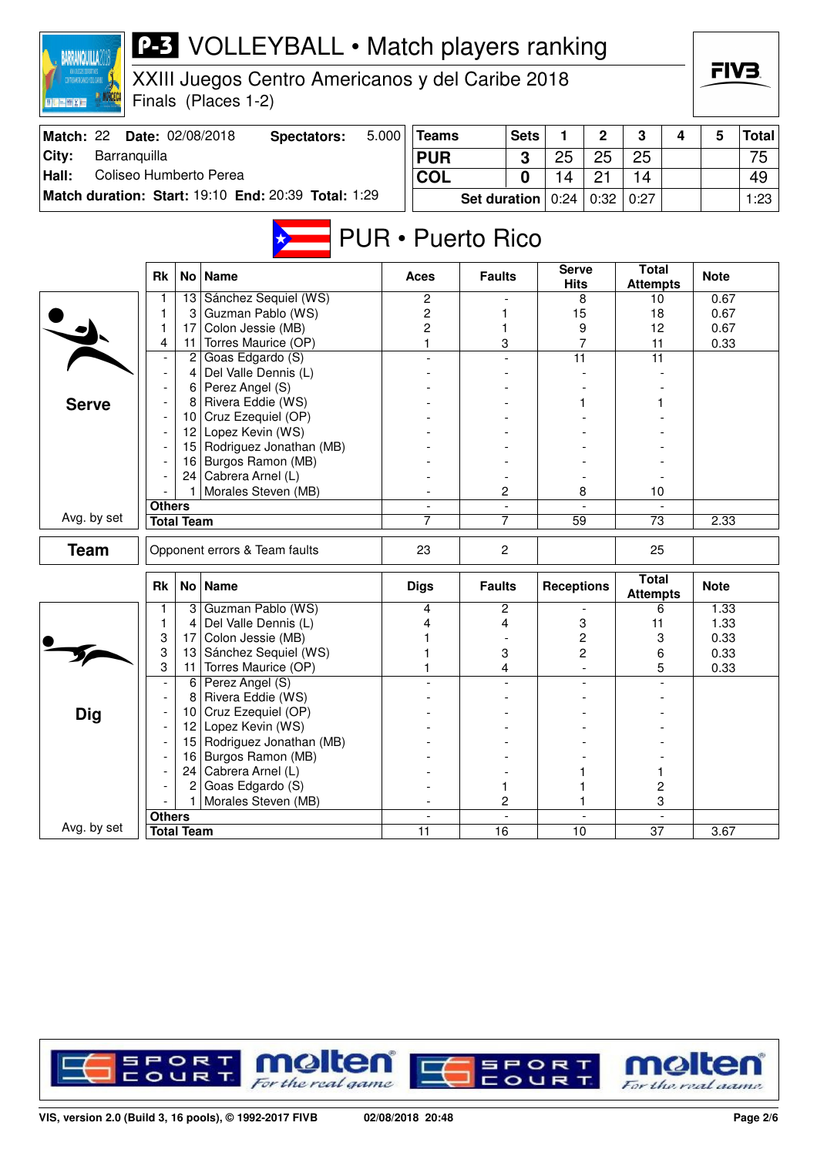| <b>BARRANQUILLA</b>             |                |                   | <b>P-3</b> VOLLEYBALL • Match players ranking                           |       |                          |                     |                |                             |                |                                 |   |              |              |
|---------------------------------|----------------|-------------------|-------------------------------------------------------------------------|-------|--------------------------|---------------------|----------------|-----------------------------|----------------|---------------------------------|---|--------------|--------------|
| <b>TROANERCANDS FIRE CARRE</b>  |                |                   | XXIII Juegos Centro Americanos y del Caribe 2018<br>Finals (Places 1-2) |       |                          |                     |                |                             |                |                                 |   | FIV3.        |              |
| Match: 22                       |                |                   | Date: 02/08/2018                                                        | 5.000 | <b>Teams</b>             |                     | <b>Sets</b>    | 1                           | $\mathbf 2$    |                                 | 4 |              |              |
|                                 |                |                   | <b>Spectators:</b>                                                      |       |                          |                     |                |                             |                | 3                               |   | 5            | <b>Total</b> |
| City:<br>Barranquilla           |                |                   |                                                                         |       | <b>PUR</b>               |                     | 3              | 25                          | 25             | 25                              |   |              | 75           |
| Hall:<br>Coliseo Humberto Perea |                |                   |                                                                         |       | COL                      |                     | 0              | 14                          | 21             | 14                              |   |              | 49           |
|                                 |                |                   | Match duration: Start: 19:10 End: 20:39 Total: 1:29                     |       |                          | <b>Set duration</b> |                | 0:24                        | 0:32           | 0:27                            |   |              | 1:23         |
|                                 |                |                   |                                                                         |       | <b>PUR • Puerto Rico</b> |                     |                |                             |                |                                 |   |              |              |
|                                 | <b>Rk</b>      | No <sub>1</sub>   | <b>Name</b>                                                             |       | Aces                     | <b>Faults</b>       |                | <b>Serve</b><br><b>Hits</b> |                | <b>Total</b><br><b>Attempts</b> |   | <b>Note</b>  |              |
|                                 |                |                   | 13 Sánchez Sequiel (WS)                                                 |       | 2                        |                     |                |                             | 8              | 10                              |   | 0.67         |              |
|                                 | 1              | 3                 | Guzman Pablo (WS)<br>Colon Jessie (MB)                                  |       | $\overline{c}$           | 1                   |                | 15                          |                | 18                              |   | 0.67         |              |
|                                 | 1<br>4         | 17<br>11          | Torres Maurice (OP)                                                     |       | 2<br>1                   | 1<br>3              |                |                             | 9<br>7         | 12<br>11                        |   | 0.67<br>0.33 |              |
|                                 |                | $\mathbf{2}$      | Goas Edgardo (S)                                                        |       |                          |                     |                | 11                          |                | 11                              |   |              |              |
|                                 |                | 4                 | Del Valle Dennis (L)                                                    |       |                          |                     |                |                             |                |                                 |   |              |              |
|                                 |                |                   | $6$ Perez Angel (S)                                                     |       |                          |                     |                |                             |                |                                 |   |              |              |
| <b>Serve</b>                    |                | 8                 | Rivera Eddie (WS)                                                       |       |                          |                     |                |                             |                |                                 |   |              |              |
|                                 |                |                   | 10 Cruz Ezequiel (OP)                                                   |       |                          |                     |                |                             |                |                                 |   |              |              |
|                                 |                |                   | 12 Lopez Kevin (WS)                                                     |       |                          |                     |                |                             |                |                                 |   |              |              |
|                                 |                |                   | 15 Rodriguez Jonathan (MB)                                              |       |                          |                     |                |                             |                |                                 |   |              |              |
|                                 |                | 16                | Burgos Ramon (MB)                                                       |       |                          |                     |                |                             |                |                                 |   |              |              |
|                                 |                | 24                | Cabrera Arnel (L)<br>Morales Steven (MB)                                |       |                          | 2                   |                |                             | 8              | 10                              |   |              |              |
|                                 | <b>Others</b>  |                   |                                                                         |       |                          |                     |                |                             |                |                                 |   |              |              |
| Avg. by set                     |                | <b>Total Team</b> |                                                                         |       | 7                        | 7                   |                | $\overline{59}$             |                | 73                              |   | 2.33         |              |
|                                 |                |                   |                                                                         |       |                          |                     |                |                             |                |                                 |   |              |              |
| <b>Team</b>                     |                |                   | Opponent errors & Team faults                                           |       | 23                       | 2                   |                |                             |                | 25                              |   |              |              |
|                                 | <b>Rk</b>      |                   | No   Name                                                               |       | <b>Digs</b>              | <b>Faults</b>       |                | <b>Receptions</b>           |                | <b>Total</b><br><b>Attempts</b> |   | <b>Note</b>  |              |
|                                 | 1              | 3                 | Guzman Pablo (WS)                                                       |       | 4                        | 2                   |                |                             |                | 6                               |   | 1.33         |              |
|                                 | 1              | 4                 | Del Valle Dennis (L)                                                    |       | 4                        | 4                   |                |                             | 3              | 11                              |   | 1.33         |              |
|                                 | 3              | 17                | Colon Jessie (MB)                                                       |       | 1                        |                     |                |                             | 2              | 3                               |   | 0.33         |              |
|                                 | 3<br>3         | 13<br>11          | Sánchez Sequiel (WS)<br>Torres Maurice (OP)                             |       | 1<br>1                   | 3<br>4              |                |                             | 2              | 6<br>5                          |   | 0.33<br>0.33 |              |
|                                 | $\overline{a}$ | 6                 | Perez Angel (S)                                                         |       |                          |                     |                |                             |                |                                 |   |              |              |
|                                 |                | 8                 | Rivera Eddie (WS)                                                       |       |                          |                     |                |                             |                |                                 |   |              |              |
| <b>Dig</b>                      |                | 10                | Cruz Ezequiel (OP)                                                      |       |                          |                     |                |                             |                |                                 |   |              |              |
|                                 |                | 12 <sub>2</sub>   | Lopez Kevin (WS)                                                        |       |                          |                     |                |                             |                |                                 |   |              |              |
|                                 |                |                   | 15 Rodriguez Jonathan (MB)                                              |       |                          |                     |                |                             |                |                                 |   |              |              |
|                                 |                | 16                | Burgos Ramon (MB)                                                       |       |                          |                     |                |                             |                |                                 |   |              |              |
|                                 |                |                   | 24   Cabrera Arnel (L)                                                  |       |                          |                     |                |                             |                | 1.                              |   |              |              |
|                                 |                | 2                 | Goas Edgardo (S)                                                        |       |                          | 1                   |                |                             |                | $\overline{c}$                  |   |              |              |
|                                 | <b>Others</b>  |                   | Morales Steven (MB)                                                     |       | $\overline{\phantom{a}}$ | 2                   | $\blacksquare$ |                             | $\blacksquare$ | 3                               |   |              |              |
| Avg. by set                     |                | <b>Total Team</b> |                                                                         |       | $\overline{11}$          | $\overline{16}$     |                | 10                          |                | $\overline{37}$                 |   | 3.67         |              |

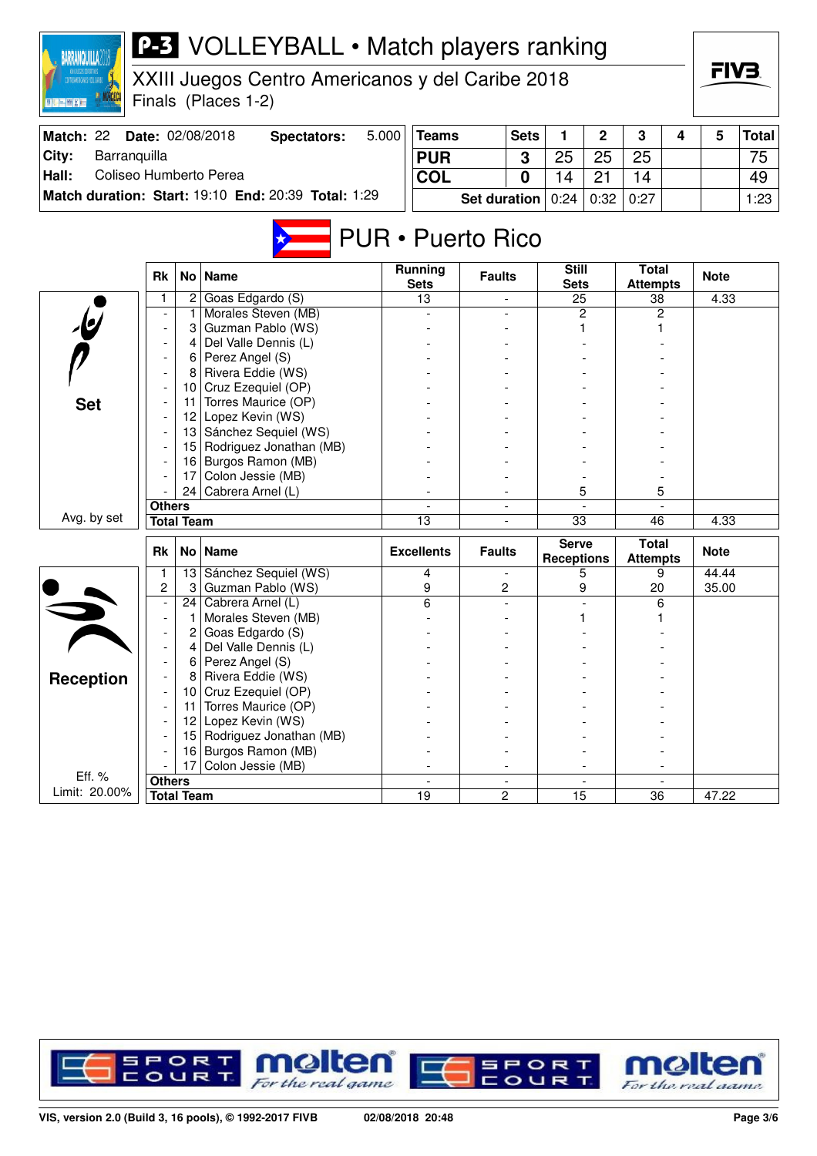| <b>BARRANQUILLA2</b>                                    |               |                   | <b>P-3</b> VOLLEYBALL • Match players ranking       |       |                               |                          |                          |                             |              |                                 |   |             |              |
|---------------------------------------------------------|---------------|-------------------|-----------------------------------------------------|-------|-------------------------------|--------------------------|--------------------------|-----------------------------|--------------|---------------------------------|---|-------------|--------------|
| , XXII JLEGOS DEPORTIVOS<br>Kydoanericanos 4 del carine |               |                   | XXIII Juegos Centro Americanos y del Caribe 2018    |       |                               |                          |                          |                             |              |                                 |   | FIV3.       |              |
| 三侧关闭                                                    |               |                   | Finals (Places 1-2)                                 |       |                               |                          |                          |                             |              |                                 |   |             |              |
|                                                         |               |                   |                                                     |       |                               |                          |                          |                             |              |                                 |   |             |              |
| Match: 22                                               |               |                   | Date: 02/08/2018<br><b>Spectators:</b>              | 5.000 | <b>Teams</b>                  |                          | <b>Sets</b>              | 1                           | $\mathbf{2}$ | 3                               | 4 | 5           | <b>Total</b> |
| City:<br>Barranquilla                                   |               |                   |                                                     |       | <b>PUR</b>                    |                          | 3                        | 25                          | 25           | 25                              |   |             | 75           |
| Coliseo Humberto Perea<br>Hall:                         |               |                   |                                                     |       | <b>COL</b>                    |                          | 0                        | 14                          | 21           | 14                              |   |             | 49           |
|                                                         |               |                   | Match duration: Start: 19:10 End: 20:39 Total: 1:29 |       |                               | <b>Set duration</b>      |                          | 0:24                        | 0:32         | 0:27                            |   |             | 1:23         |
|                                                         |               |                   |                                                     |       |                               |                          |                          |                             |              |                                 |   |             |              |
|                                                         |               |                   |                                                     |       |                               | <b>PUR • Puerto Rico</b> |                          |                             |              |                                 |   |             |              |
|                                                         | <b>Rk</b>     | No                | <b>Name</b>                                         |       | <b>Running</b><br><b>Sets</b> | <b>Faults</b>            |                          | <b>Still</b><br><b>Sets</b> |              | <b>Total</b><br><b>Attempts</b> |   | <b>Note</b> |              |
|                                                         | 1             | 2                 | Goas Edgardo (S)                                    |       | 13                            |                          | $\blacksquare$           | 25                          |              | 38                              |   | 4.33        |              |
|                                                         |               |                   | Morales Steven (MB)                                 |       |                               |                          |                          |                             | 2            | 2                               |   |             |              |
|                                                         |               | 3                 | Guzman Pablo (WS)                                   |       |                               |                          |                          |                             |              |                                 |   |             |              |
|                                                         |               | 4                 | Del Valle Dennis (L)                                |       |                               |                          |                          |                             |              |                                 |   |             |              |
|                                                         |               | 6                 | Perez Angel (S)                                     |       |                               |                          |                          |                             |              |                                 |   |             |              |
|                                                         |               | 8                 | Rivera Eddie (WS)                                   |       |                               |                          |                          |                             |              |                                 |   |             |              |
|                                                         |               | 10                | Cruz Ezequiel (OP)                                  |       |                               |                          |                          |                             |              |                                 |   |             |              |
| <b>Set</b>                                              |               | 11                | Torres Maurice (OP)<br>12 Lopez Kevin (WS)          |       |                               |                          |                          |                             |              |                                 |   |             |              |
|                                                         |               | 13                | Sánchez Sequiel (WS)                                |       |                               |                          |                          |                             |              |                                 |   |             |              |
|                                                         |               | 15                | Rodriguez Jonathan (MB)                             |       |                               |                          |                          |                             |              |                                 |   |             |              |
|                                                         |               | 16                | Burgos Ramon (MB)                                   |       |                               |                          |                          |                             |              |                                 |   |             |              |
|                                                         |               | 17                | Colon Jessie (MB)                                   |       |                               |                          |                          |                             |              |                                 |   |             |              |
|                                                         |               | 24                | Cabrera Arnel (L)                                   |       |                               |                          |                          |                             | 5            | 5                               |   |             |              |
|                                                         | <b>Others</b> |                   |                                                     |       |                               |                          |                          |                             |              |                                 |   |             |              |
| Avg. by set                                             |               | <b>Total Team</b> |                                                     |       | 13                            |                          | $\overline{\phantom{a}}$ | $\overline{33}$             |              | 46                              |   | 4.33        |              |
|                                                         |               |                   |                                                     |       |                               |                          |                          | <b>Serve</b>                |              | <b>Total</b>                    |   |             |              |
|                                                         | <b>Rk</b>     | No l              | <b>Name</b>                                         |       | <b>Excellents</b>             | <b>Faults</b>            |                          | <b>Receptions</b>           |              | <b>Attempts</b>                 |   | <b>Note</b> |              |
|                                                         |               |                   | 13 Sánchez Sequiel (WS)                             |       | 4                             |                          |                          |                             | 5            | 9                               |   | 44.44       |              |
|                                                         | 2             | 3                 | Guzman Pablo (WS)                                   |       | 9                             | 2                        |                          |                             | 9            | 20                              |   | 35.00       |              |
|                                                         |               | 24                | Cabrera Arnel (L)                                   |       | 6                             |                          |                          |                             |              | 6                               |   |             |              |
|                                                         |               |                   | Morales Steven (MB)                                 |       |                               |                          |                          | 1                           |              |                                 |   |             |              |
|                                                         |               | 2                 | Goas Edgardo (S)                                    |       |                               |                          |                          |                             |              |                                 |   |             |              |
|                                                         |               |                   | Del Valle Dennis (L)                                |       |                               |                          |                          |                             |              |                                 |   |             |              |
|                                                         |               | 6                 | Perez Angel (S)                                     |       |                               |                          |                          |                             |              |                                 |   |             |              |
| Reception                                               |               | 10                | Rivera Eddie (WS)<br>Cruz Ezequiel (OP)             |       |                               |                          |                          |                             |              |                                 |   |             |              |
|                                                         |               | 11                | Torres Maurice (OP)                                 |       |                               |                          |                          |                             |              |                                 |   |             |              |
|                                                         |               | 12                | Lopez Kevin (WS)                                    |       |                               |                          |                          |                             |              |                                 |   |             |              |
|                                                         |               | 15                | Rodriguez Jonathan (MB)                             |       |                               |                          |                          |                             |              |                                 |   |             |              |
|                                                         |               | 16                | Burgos Ramon (MB)                                   |       |                               |                          |                          |                             |              |                                 |   |             |              |
|                                                         |               | 17                | Colon Jessie (MB)                                   |       |                               |                          |                          |                             |              |                                 |   |             |              |
| Eff. %                                                  | <b>Others</b> |                   |                                                     |       |                               |                          |                          |                             |              |                                 |   |             |              |
| Limit: 20.00%                                           |               | <b>Total Team</b> |                                                     |       | 19                            | $\overline{2}$           |                          | 15                          |              | 36                              |   | 47.22       |              |

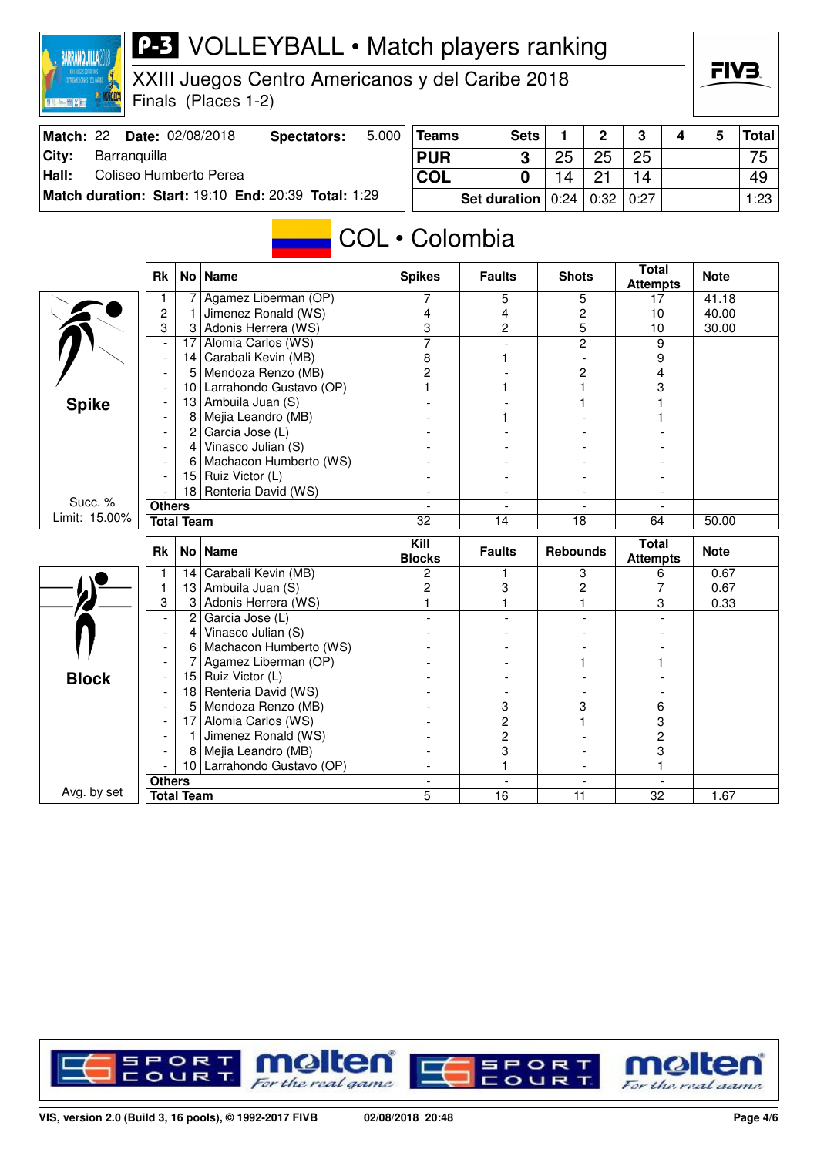



- 10 Larrahondo Gustavo (OP) - 1 - 1 **Others** - - - -

**Total Team** 5 16 11 32 1.67

Avg. by set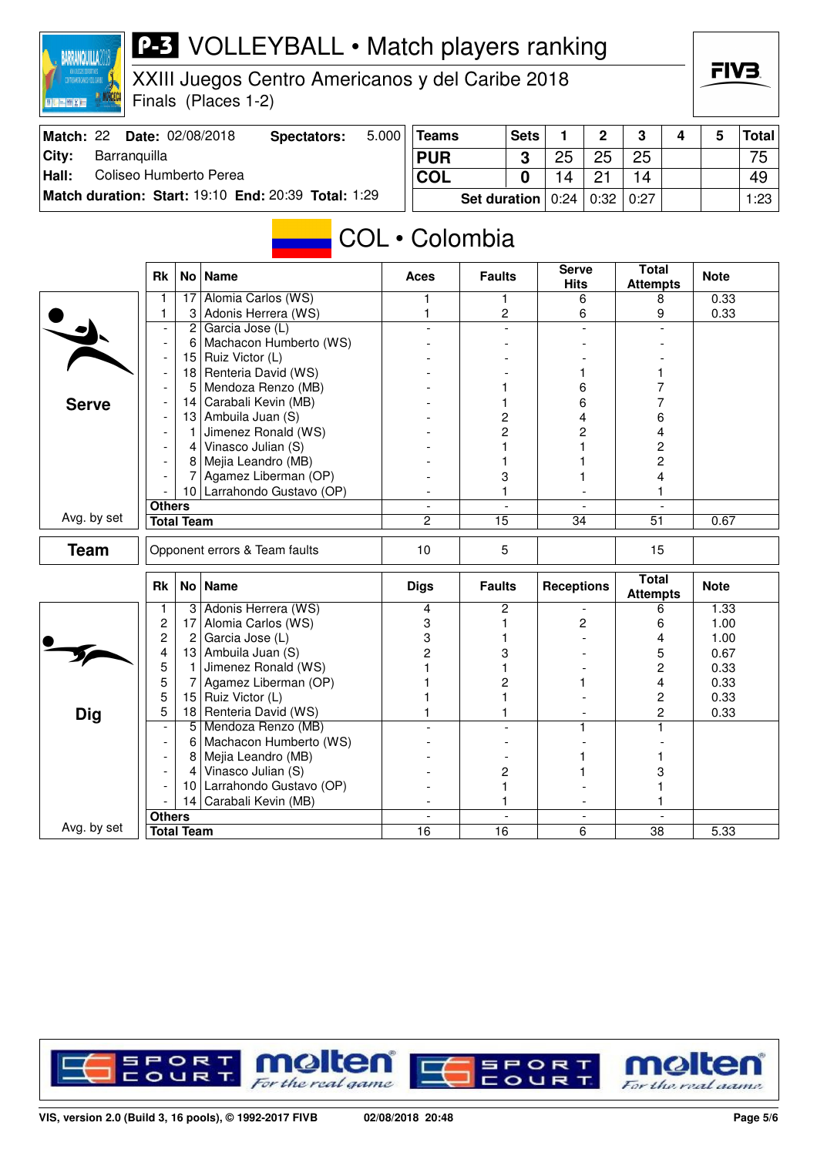

## **P-3** VOLLEYBALL • Match players ranking

XXIII Juegos Centro Americanos y del Caribe 2018

Finals (Places 1-2)

| ıП. | ľ | V |  |  |
|-----|---|---|--|--|
|     |   |   |  |  |

| Match: 22 | <b>Date: 02/08/2018</b>                             | Spectators: | 5.000 | Teams                                    | <b>Sets</b> |    | C  | 3  |  | <b>Total</b> |
|-----------|-----------------------------------------------------|-------------|-------|------------------------------------------|-------------|----|----|----|--|--------------|
| City:     | Barranguilla                                        |             |       | <b>PUR</b>                               | ົ           | 25 | 25 | 25 |  | 75           |
| Hall:     | Coliseo Humberto Perea                              |             |       | <b>COL</b>                               |             | 14 |    |    |  | 49           |
|           | Match duration: Start: 19:10 End: 20:39 Total: 1:29 |             |       | <b>Set duration</b> $0:24   0:32   0:27$ |             |    |    |    |  | 1:23         |

## COL • Colombia

|              | <b>Rk</b>                |                   | No   Name                     | <b>Aces</b>    | <b>Faults</b>   | <b>Serve</b><br><b>Hits</b> | Total<br><b>Attempts</b>        | <b>Note</b> |
|--------------|--------------------------|-------------------|-------------------------------|----------------|-----------------|-----------------------------|---------------------------------|-------------|
|              | 1                        | 17                | Alomia Carlos (WS)            | 1              | 1               | 6                           | 8                               | 0.33        |
|              | 1                        | 3                 | Adonis Herrera (WS)           | $\mathbf{1}$   | $\overline{c}$  | 6                           | 9                               | 0.33        |
|              | $\overline{\phantom{a}}$ | $\overline{2}$    | Garcia Jose (L)               |                | $\equiv$        | $\overline{a}$              |                                 |             |
|              | $\overline{\phantom{a}}$ | 6                 | Machacon Humberto (WS)        |                |                 |                             |                                 |             |
|              | $\overline{\phantom{a}}$ | 15                | Ruiz Victor (L)               |                |                 |                             |                                 |             |
|              | $\overline{a}$           | 18                | Renteria David (WS)           |                |                 |                             |                                 |             |
|              | $\overline{a}$           | 5                 | Mendoza Renzo (MB)            |                |                 | 6                           |                                 |             |
| <b>Serve</b> | $\overline{\phantom{a}}$ | 14                | Carabali Kevin (MB)           |                | 1               | 6                           |                                 |             |
|              | $\overline{\phantom{a}}$ | 13                | Ambuila Juan (S)              |                | 2               | 4                           | 6                               |             |
|              |                          | 1                 | Jimenez Ronald (WS)           |                | $\overline{c}$  | 2                           | 4                               |             |
|              | $\overline{\phantom{a}}$ | $\vert$           | Vinasco Julian (S)            |                | 1               |                             | 2                               |             |
|              |                          | 8                 | Mejia Leandro (MB)            |                |                 |                             | 2                               |             |
|              |                          | 7                 | Agamez Liberman (OP)          |                | 3               |                             | 4                               |             |
|              |                          |                   | 10 Larrahondo Gustavo (OP)    |                | 1               |                             | 1                               |             |
|              | <b>Others</b>            |                   |                               | $\blacksquare$ | $\sim$          | $\overline{a}$              | $\sim$                          |             |
| Avg. by set  |                          | <b>Total Team</b> |                               | $\overline{2}$ | $\overline{15}$ | 34                          | $\overline{51}$                 | 0.67        |
| <b>Team</b>  |                          |                   | Opponent errors & Team faults | 10             | 5               |                             | 15                              |             |
|              | <b>Rk</b>                |                   | No   Name                     | <b>Digs</b>    | <b>Faults</b>   | <b>Receptions</b>           | <b>Total</b><br><b>Attempts</b> | <b>Note</b> |
|              | 1                        | 3                 | Adonis Herrera (WS)           | 4              | $\overline{c}$  | $\overline{\phantom{a}}$    | 6                               | 1.33        |
|              | $\overline{c}$           | 17                | Alomia Carlos (WS)            | 3              | 1               | 2                           | 6                               | 1.00        |
|              | 2                        | $\overline{2}$    | Garcia Jose (L)               | 3              |                 |                             | 4                               | 1.00        |
|              | 4                        | 13                | Ambuila Juan (S)              | $\overline{2}$ | 3               |                             | 5                               | 0.67        |
|              | 5                        | $\mathbf{1}$      | Jimenez Ronald (WS)           |                | 1               |                             | $\overline{c}$                  | 0.33        |
|              | 5                        | 7                 | Agamez Liberman (OP)          |                | 2               |                             | 4                               | 0.33        |
|              | 5                        | 15 <sub>1</sub>   | Ruiz Victor (L)               |                | 1               |                             | 2                               | 0.33        |
| Dig          | 5                        | 18                | Renteria David (WS)           |                | 1               |                             | 2                               | 0.33        |
|              |                          | 5 <sup>1</sup>    | Mendoza Renzo (MB)            |                |                 | 1.                          | 1                               |             |
|              |                          | 6                 | Machacon Humberto (WS)        |                |                 |                             |                                 |             |
|              |                          | 8                 | Mejia Leandro (MB)            |                |                 |                             |                                 |             |
|              | $\overline{\phantom{a}}$ | $\overline{4}$    | Vinasco Julian (S)            |                | 2               |                             | 3                               |             |
|              |                          | 10                | Larrahondo Gustavo (OP)       |                | 1               |                             |                                 |             |
|              |                          |                   | 14 Carabali Kevin (MB)        |                | 1               |                             |                                 |             |
|              | <b>Others</b>            |                   |                               |                |                 | $\overline{\phantom{a}}$    |                                 |             |
| Avg. by set  |                          | <b>Total Team</b> |                               | 16             | 16              | 6                           | 38                              | 5.33        |